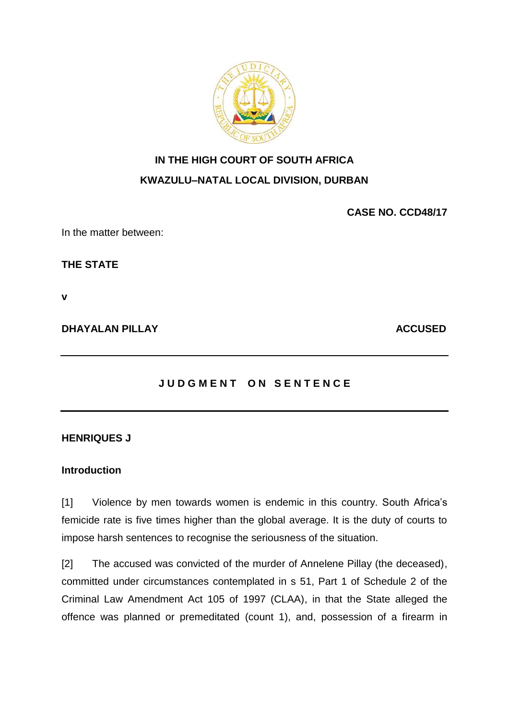

# **IN THE HIGH COURT OF SOUTH AFRICA**

# **KWAZULU–NATAL LOCAL DIVISION, DURBAN**

**CASE NO. CCD48/17**

In the matter between:

**THE STATE**

**v**

**DHAYALAN PILLAY ACCUSED** 

# **JUDGMENT ON SENTENCE**

# **HENRIQUES J**

# **Introduction**

[1] Violence by men towards women is endemic in this country. South Africa's femicide rate is five times higher than the global average. It is the duty of courts to impose harsh sentences to recognise the seriousness of the situation.

[2] The accused was convicted of the murder of Annelene Pillay (the deceased), committed under circumstances contemplated in s 51, Part 1 of Schedule 2 of the Criminal Law Amendment Act 105 of 1997 (CLAA), in that the State alleged the offence was planned or premeditated (count 1), and, possession of a firearm in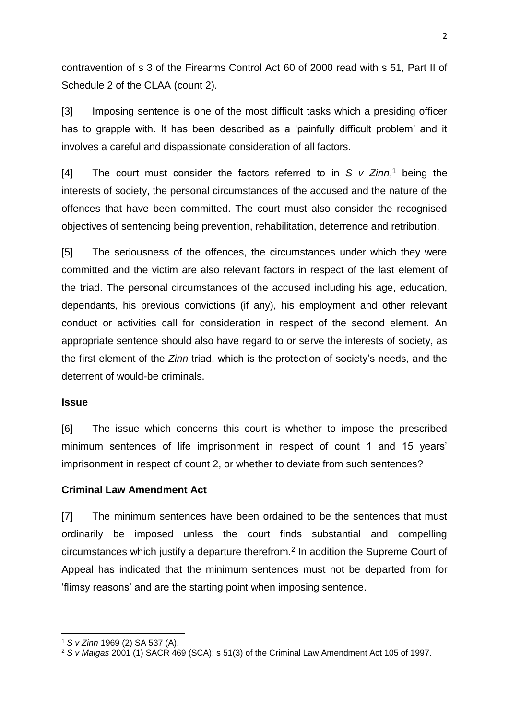contravention of s 3 of the Firearms Control Act 60 of 2000 read with s 51, Part II of Schedule 2 of the CLAA (count 2).

[3] Imposing sentence is one of the most difficult tasks which a presiding officer has to grapple with. It has been described as a 'painfully difficult problem' and it involves a careful and dispassionate consideration of all factors.

[4] The court must consider the factors referred to in *S v Zinn*, <sup>1</sup> being the interests of society, the personal circumstances of the accused and the nature of the offences that have been committed. The court must also consider the recognised objectives of sentencing being prevention, rehabilitation, deterrence and retribution.

[5] The seriousness of the offences, the circumstances under which they were committed and the victim are also relevant factors in respect of the last element of the triad. The personal circumstances of the accused including his age, education, dependants, his previous convictions (if any), his employment and other relevant conduct or activities call for consideration in respect of the second element. An appropriate sentence should also have regard to or serve the interests of society, as the first element of the *Zinn* triad, which is the protection of society's needs, and the deterrent of would-be criminals.

#### **Issue**

1

[6] The issue which concerns this court is whether to impose the prescribed minimum sentences of life imprisonment in respect of count 1 and 15 years' imprisonment in respect of count 2, or whether to deviate from such sentences?

## **Criminal Law Amendment Act**

[7] The minimum sentences have been ordained to be the sentences that must ordinarily be imposed unless the court finds substantial and compelling circumstances which justify a departure therefrom.<sup>2</sup> In addition the Supreme Court of Appeal has indicated that the minimum sentences must not be departed from for 'flimsy reasons' and are the starting point when imposing sentence.

<sup>1</sup> *S v Zinn* 1969 (2) SA 537 (A).

<sup>2</sup> *S v Malgas* 2001 (1) SACR 469 (SCA); s 51(3) of the Criminal Law Amendment Act 105 of 1997.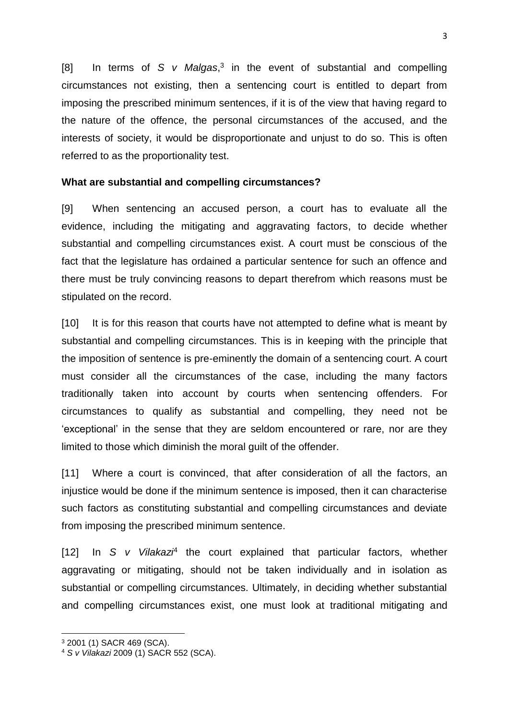[8] In terms of *S v Malgas*,<sup>3</sup> in the event of substantial and compelling circumstances not existing, then a sentencing court is entitled to depart from imposing the prescribed minimum sentences, if it is of the view that having regard to the nature of the offence, the personal circumstances of the accused, and the interests of society, it would be disproportionate and unjust to do so. This is often referred to as the proportionality test.

## **What are substantial and compelling circumstances?**

[9] When sentencing an accused person, a court has to evaluate all the evidence, including the mitigating and aggravating factors, to decide whether substantial and compelling circumstances exist. A court must be conscious of the fact that the legislature has ordained a particular sentence for such an offence and there must be truly convincing reasons to depart therefrom which reasons must be stipulated on the record.

[10] It is for this reason that courts have not attempted to define what is meant by substantial and compelling circumstances. This is in keeping with the principle that the imposition of sentence is pre-eminently the domain of a sentencing court. A court must consider all the circumstances of the case, including the many factors traditionally taken into account by courts when sentencing offenders. For circumstances to qualify as substantial and compelling, they need not be 'exceptional' in the sense that they are seldom encountered or rare, nor are they limited to those which diminish the moral guilt of the offender.

[11] Where a court is convinced, that after consideration of all the factors, an injustice would be done if the minimum sentence is imposed, then it can characterise such factors as constituting substantial and compelling circumstances and deviate from imposing the prescribed minimum sentence.

[12] In *S v Vilakazi<sup>4</sup>* the court explained that particular factors, whether aggravating or mitigating, should not be taken individually and in isolation as substantial or compelling circumstances. Ultimately, in deciding whether substantial and compelling circumstances exist, one must look at traditional mitigating and

1

<sup>3</sup> 2001 (1) SACR 469 (SCA).

<sup>4</sup> *S v Vilakazi* 2009 (1) SACR 552 (SCA).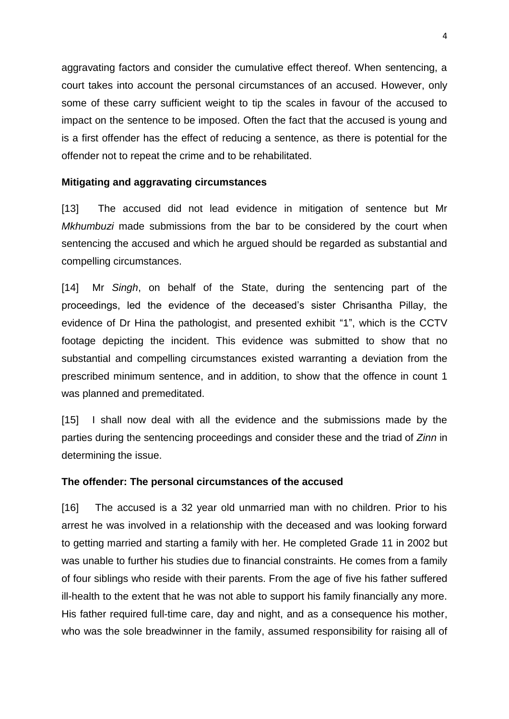aggravating factors and consider the cumulative effect thereof. When sentencing, a court takes into account the personal circumstances of an accused. However, only some of these carry sufficient weight to tip the scales in favour of the accused to impact on the sentence to be imposed. Often the fact that the accused is young and is a first offender has the effect of reducing a sentence, as there is potential for the offender not to repeat the crime and to be rehabilitated.

## **Mitigating and aggravating circumstances**

[13] The accused did not lead evidence in mitigation of sentence but Mr *Mkhumbuzi* made submissions from the bar to be considered by the court when sentencing the accused and which he argued should be regarded as substantial and compelling circumstances.

[14] Mr *Singh*, on behalf of the State, during the sentencing part of the proceedings, led the evidence of the deceased's sister Chrisantha Pillay, the evidence of Dr Hina the pathologist, and presented exhibit "1", which is the CCTV footage depicting the incident. This evidence was submitted to show that no substantial and compelling circumstances existed warranting a deviation from the prescribed minimum sentence, and in addition, to show that the offence in count 1 was planned and premeditated.

[15] I shall now deal with all the evidence and the submissions made by the parties during the sentencing proceedings and consider these and the triad of *Zinn* in determining the issue.

## **The offender: The personal circumstances of the accused**

[16] The accused is a 32 year old unmarried man with no children. Prior to his arrest he was involved in a relationship with the deceased and was looking forward to getting married and starting a family with her. He completed Grade 11 in 2002 but was unable to further his studies due to financial constraints. He comes from a family of four siblings who reside with their parents. From the age of five his father suffered ill-health to the extent that he was not able to support his family financially any more. His father required full-time care, day and night, and as a consequence his mother, who was the sole breadwinner in the family, assumed responsibility for raising all of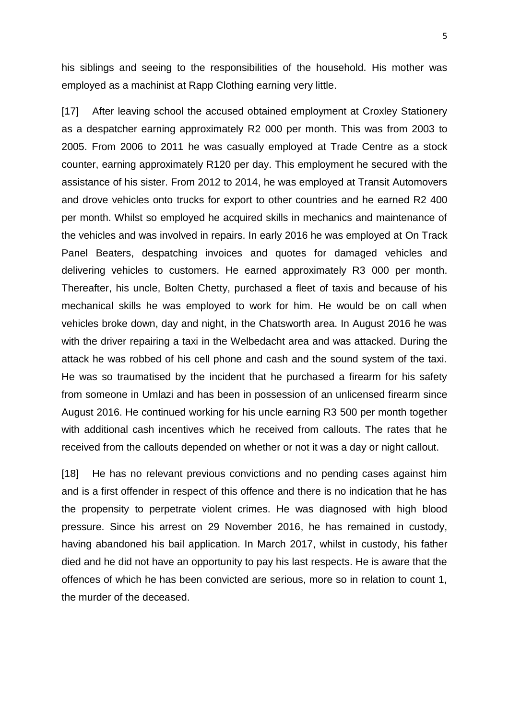his siblings and seeing to the responsibilities of the household. His mother was employed as a machinist at Rapp Clothing earning very little.

[17] After leaving school the accused obtained employment at Croxley Stationery as a despatcher earning approximately R2 000 per month. This was from 2003 to 2005. From 2006 to 2011 he was casually employed at Trade Centre as a stock counter, earning approximately R120 per day. This employment he secured with the assistance of his sister. From 2012 to 2014, he was employed at Transit Automovers and drove vehicles onto trucks for export to other countries and he earned R2 400 per month. Whilst so employed he acquired skills in mechanics and maintenance of the vehicles and was involved in repairs. In early 2016 he was employed at On Track Panel Beaters, despatching invoices and quotes for damaged vehicles and delivering vehicles to customers. He earned approximately R3 000 per month. Thereafter, his uncle, Bolten Chetty, purchased a fleet of taxis and because of his mechanical skills he was employed to work for him. He would be on call when vehicles broke down, day and night, in the Chatsworth area. In August 2016 he was with the driver repairing a taxi in the Welbedacht area and was attacked. During the attack he was robbed of his cell phone and cash and the sound system of the taxi. He was so traumatised by the incident that he purchased a firearm for his safety from someone in Umlazi and has been in possession of an unlicensed firearm since August 2016. He continued working for his uncle earning R3 500 per month together with additional cash incentives which he received from callouts. The rates that he received from the callouts depended on whether or not it was a day or night callout.

[18] He has no relevant previous convictions and no pending cases against him and is a first offender in respect of this offence and there is no indication that he has the propensity to perpetrate violent crimes. He was diagnosed with high blood pressure. Since his arrest on 29 November 2016, he has remained in custody, having abandoned his bail application. In March 2017, whilst in custody, his father died and he did not have an opportunity to pay his last respects. He is aware that the offences of which he has been convicted are serious, more so in relation to count 1, the murder of the deceased.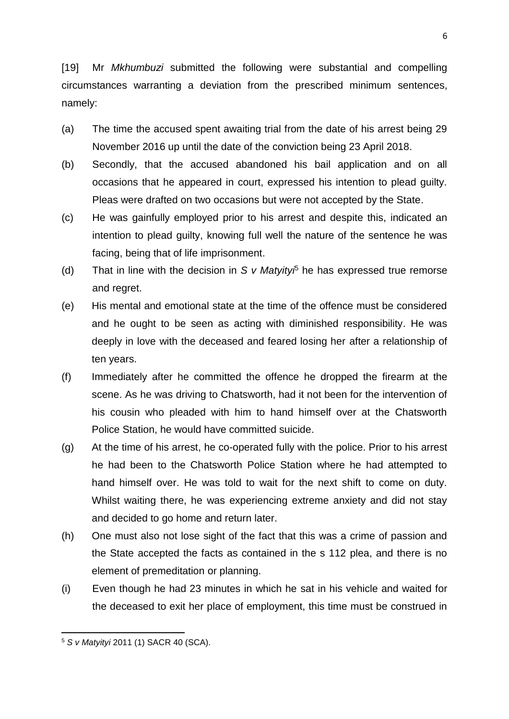[19] Mr *Mkhumbuzi* submitted the following were substantial and compelling circumstances warranting a deviation from the prescribed minimum sentences, namely:

- (a) The time the accused spent awaiting trial from the date of his arrest being 29 November 2016 up until the date of the conviction being 23 April 2018.
- (b) Secondly, that the accused abandoned his bail application and on all occasions that he appeared in court, expressed his intention to plead guilty. Pleas were drafted on two occasions but were not accepted by the State.
- (c) He was gainfully employed prior to his arrest and despite this, indicated an intention to plead guilty, knowing full well the nature of the sentence he was facing, being that of life imprisonment.
- (d) That in line with the decision in *S v Matyityi*<sup>5</sup> he has expressed true remorse and regret.
- (e) His mental and emotional state at the time of the offence must be considered and he ought to be seen as acting with diminished responsibility. He was deeply in love with the deceased and feared losing her after a relationship of ten years.
- (f) Immediately after he committed the offence he dropped the firearm at the scene. As he was driving to Chatsworth, had it not been for the intervention of his cousin who pleaded with him to hand himself over at the Chatsworth Police Station, he would have committed suicide.
- (g) At the time of his arrest, he co-operated fully with the police. Prior to his arrest he had been to the Chatsworth Police Station where he had attempted to hand himself over. He was told to wait for the next shift to come on duty. Whilst waiting there, he was experiencing extreme anxiety and did not stay and decided to go home and return later.
- (h) One must also not lose sight of the fact that this was a crime of passion and the State accepted the facts as contained in the s 112 plea, and there is no element of premeditation or planning.
- (i) Even though he had 23 minutes in which he sat in his vehicle and waited for the deceased to exit her place of employment, this time must be construed in

1

<sup>5</sup> *S v Matyityi* 2011 (1) SACR 40 (SCA).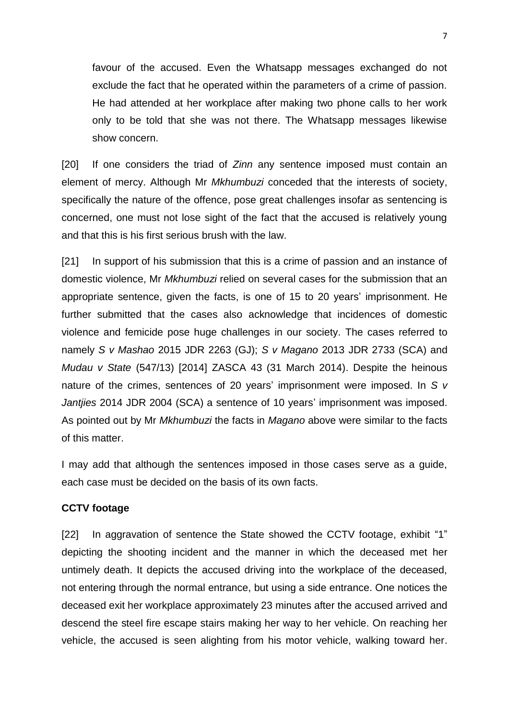favour of the accused. Even the Whatsapp messages exchanged do not exclude the fact that he operated within the parameters of a crime of passion. He had attended at her workplace after making two phone calls to her work only to be told that she was not there. The Whatsapp messages likewise show concern.

[20] If one considers the triad of *Zinn* any sentence imposed must contain an element of mercy. Although Mr *Mkhumbuzi* conceded that the interests of society, specifically the nature of the offence, pose great challenges insofar as sentencing is concerned, one must not lose sight of the fact that the accused is relatively young and that this is his first serious brush with the law.

[21] In support of his submission that this is a crime of passion and an instance of domestic violence, Mr *Mkhumbuzi* relied on several cases for the submission that an appropriate sentence, given the facts, is one of 15 to 20 years' imprisonment. He further submitted that the cases also acknowledge that incidences of domestic violence and femicide pose huge challenges in our society. The cases referred to namely *S v Mashao* 2015 JDR 2263 (GJ); *S v Magano* 2013 JDR 2733 (SCA) and *Mudau v State* (547/13) [2014] ZASCA 43 (31 March 2014). Despite the heinous nature of the crimes, sentences of 20 years' imprisonment were imposed. In *S v Jantjies* 2014 JDR 2004 (SCA) a sentence of 10 years' imprisonment was imposed. As pointed out by Mr *Mkhumbuzi* the facts in *Magano* above were similar to the facts of this matter.

I may add that although the sentences imposed in those cases serve as a guide, each case must be decided on the basis of its own facts.

#### **CCTV footage**

[22] In aggravation of sentence the State showed the CCTV footage, exhibit "1" depicting the shooting incident and the manner in which the deceased met her untimely death. It depicts the accused driving into the workplace of the deceased, not entering through the normal entrance, but using a side entrance. One notices the deceased exit her workplace approximately 23 minutes after the accused arrived and descend the steel fire escape stairs making her way to her vehicle. On reaching her vehicle, the accused is seen alighting from his motor vehicle, walking toward her.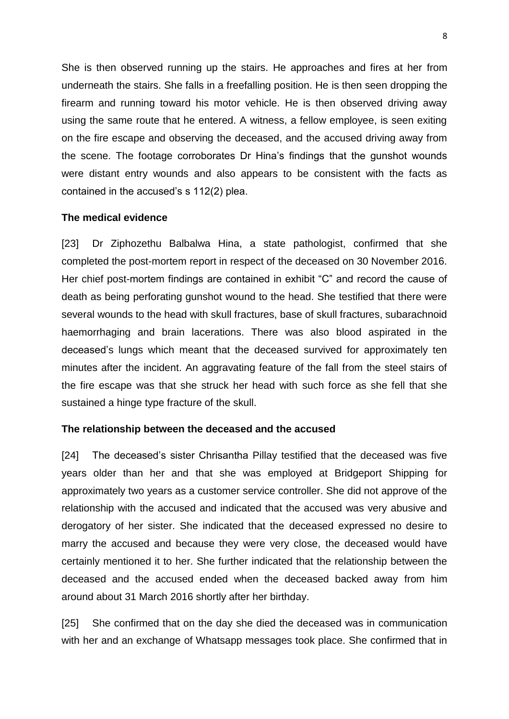She is then observed running up the stairs. He approaches and fires at her from underneath the stairs. She falls in a freefalling position. He is then seen dropping the firearm and running toward his motor vehicle. He is then observed driving away using the same route that he entered. A witness, a fellow employee, is seen exiting on the fire escape and observing the deceased, and the accused driving away from the scene. The footage corroborates Dr Hina's findings that the gunshot wounds were distant entry wounds and also appears to be consistent with the facts as contained in the accused's s 112(2) plea.

#### **The medical evidence**

[23] Dr Ziphozethu Balbalwa Hina, a state pathologist, confirmed that she completed the post-mortem report in respect of the deceased on 30 November 2016. Her chief post-mortem findings are contained in exhibit "C" and record the cause of death as being perforating gunshot wound to the head. She testified that there were several wounds to the head with skull fractures, base of skull fractures, subarachnoid haemorrhaging and brain lacerations. There was also blood aspirated in the deceased's lungs which meant that the deceased survived for approximately ten minutes after the incident. An aggravating feature of the fall from the steel stairs of the fire escape was that she struck her head with such force as she fell that she sustained a hinge type fracture of the skull.

#### **The relationship between the deceased and the accused**

[24] The deceased's sister Chrisantha Pillay testified that the deceased was five years older than her and that she was employed at Bridgeport Shipping for approximately two years as a customer service controller. She did not approve of the relationship with the accused and indicated that the accused was very abusive and derogatory of her sister. She indicated that the deceased expressed no desire to marry the accused and because they were very close, the deceased would have certainly mentioned it to her. She further indicated that the relationship between the deceased and the accused ended when the deceased backed away from him around about 31 March 2016 shortly after her birthday.

[25] She confirmed that on the day she died the deceased was in communication with her and an exchange of Whatsapp messages took place. She confirmed that in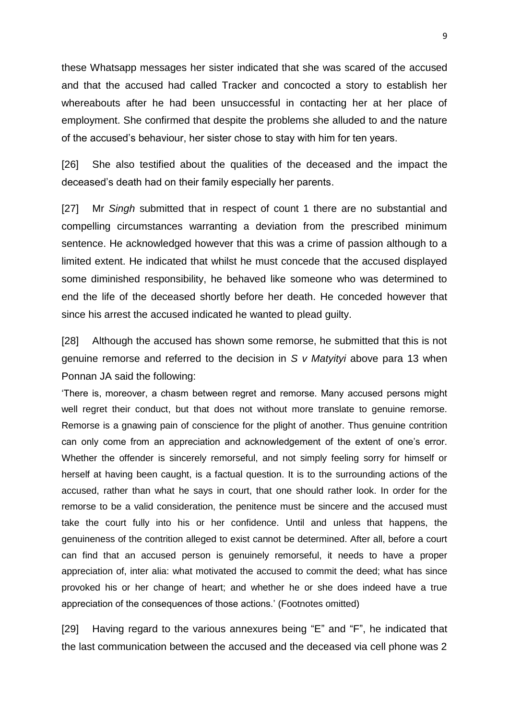these Whatsapp messages her sister indicated that she was scared of the accused and that the accused had called Tracker and concocted a story to establish her whereabouts after he had been unsuccessful in contacting her at her place of employment. She confirmed that despite the problems she alluded to and the nature of the accused's behaviour, her sister chose to stay with him for ten years.

[26] She also testified about the qualities of the deceased and the impact the deceased's death had on their family especially her parents.

[27] Mr *Singh* submitted that in respect of count 1 there are no substantial and compelling circumstances warranting a deviation from the prescribed minimum sentence. He acknowledged however that this was a crime of passion although to a limited extent. He indicated that whilst he must concede that the accused displayed some diminished responsibility, he behaved like someone who was determined to end the life of the deceased shortly before her death. He conceded however that since his arrest the accused indicated he wanted to plead guilty.

[28] Although the accused has shown some remorse, he submitted that this is not genuine remorse and referred to the decision in *S v Matyityi* above para 13 when Ponnan JA said the following:

'There is, moreover, a chasm between regret and remorse. Many accused persons might well regret their conduct, but that does not without more translate to genuine remorse. Remorse is a gnawing pain of conscience for the plight of another. Thus genuine contrition can only come from an appreciation and acknowledgement of the extent of one's error. Whether the offender is sincerely remorseful, and not simply feeling sorry for himself or herself at having been caught, is a factual question. It is to the surrounding actions of the accused, rather than what he says in court, that one should rather look. In order for the remorse to be a valid consideration, the penitence must be sincere and the accused must take the court fully into his or her confidence. Until and unless that happens, the genuineness of the contrition alleged to exist cannot be determined. After all, before a court can find that an accused person is genuinely remorseful, it needs to have a proper appreciation of, inter alia: what motivated the accused to commit the deed; what has since provoked his or her change of heart; and whether he or she does indeed have a true appreciation of the consequences of those actions.' (Footnotes omitted)

[29] Having regard to the various annexures being "E" and "F", he indicated that the last communication between the accused and the deceased via cell phone was 2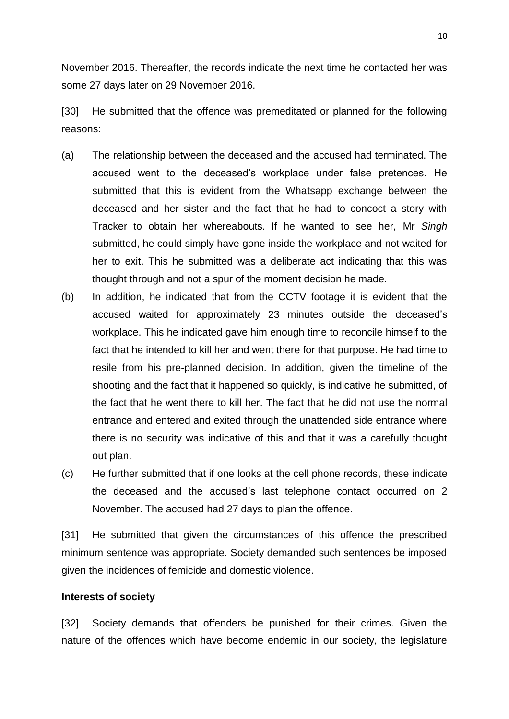November 2016. Thereafter, the records indicate the next time he contacted her was some 27 days later on 29 November 2016.

[30] He submitted that the offence was premeditated or planned for the following reasons:

- (a) The relationship between the deceased and the accused had terminated. The accused went to the deceased's workplace under false pretences. He submitted that this is evident from the Whatsapp exchange between the deceased and her sister and the fact that he had to concoct a story with Tracker to obtain her whereabouts. If he wanted to see her, Mr *Singh* submitted, he could simply have gone inside the workplace and not waited for her to exit. This he submitted was a deliberate act indicating that this was thought through and not a spur of the moment decision he made.
- (b) In addition, he indicated that from the CCTV footage it is evident that the accused waited for approximately 23 minutes outside the deceased's workplace. This he indicated gave him enough time to reconcile himself to the fact that he intended to kill her and went there for that purpose. He had time to resile from his pre-planned decision. In addition, given the timeline of the shooting and the fact that it happened so quickly, is indicative he submitted, of the fact that he went there to kill her. The fact that he did not use the normal entrance and entered and exited through the unattended side entrance where there is no security was indicative of this and that it was a carefully thought out plan.
- (c) He further submitted that if one looks at the cell phone records, these indicate the deceased and the accused's last telephone contact occurred on 2 November. The accused had 27 days to plan the offence.

[31] He submitted that given the circumstances of this offence the prescribed minimum sentence was appropriate. Society demanded such sentences be imposed given the incidences of femicide and domestic violence.

#### **Interests of society**

[32] Society demands that offenders be punished for their crimes. Given the nature of the offences which have become endemic in our society, the legislature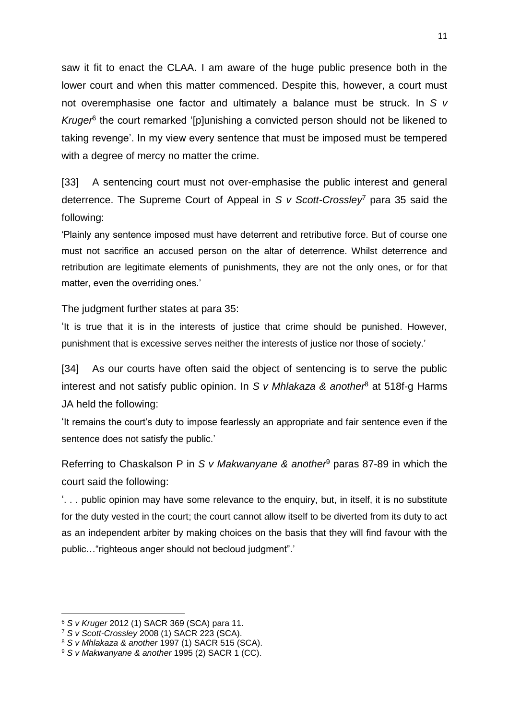saw it fit to enact the CLAA. I am aware of the huge public presence both in the lower court and when this matter commenced. Despite this, however, a court must not overemphasise one factor and ultimately a balance must be struck. In *S v*  Kruger<sup>6</sup> the court remarked '[p]unishing a convicted person should not be likened to taking revenge'. In my view every sentence that must be imposed must be tempered with a degree of mercy no matter the crime.

[33] A sentencing court must not over-emphasise the public interest and general deterrence. The Supreme Court of Appeal in *S v Scott-Crossley*<sup>7</sup> para 35 said the following:

'Plainly any sentence imposed must have deterrent and retributive force. But of course one must not sacrifice an accused person on the altar of deterrence. Whilst deterrence and retribution are legitimate elements of punishments, they are not the only ones, or for that matter, even the overriding ones.'

The judgment further states at para 35:

'It is true that it is in the interests of justice that crime should be punished. However, punishment that is excessive serves neither the interests of justice nor those of society.'

[34] As our courts have often said the object of sentencing is to serve the public interest and not satisfy public opinion. In *S v Mhlakaza & another*<sup>8</sup> at 518f-g Harms JA held the following:

'It remains the court's duty to impose fearlessly an appropriate and fair sentence even if the sentence does not satisfy the public.'

Referring to Chaskalson P in *S v Makwanyane & another*<sup>9</sup> paras 87-89 in which the court said the following:

'. . . public opinion may have some relevance to the enquiry, but, in itself, it is no substitute for the duty vested in the court; the court cannot allow itself to be diverted from its duty to act as an independent arbiter by making choices on the basis that they will find favour with the public…"righteous anger should not becloud judgment".'

<sup>6</sup> *S v Kruger* 2012 (1) SACR 369 (SCA) para 11.

<sup>7</sup> *S v Scott-Crossley* 2008 (1) SACR 223 (SCA).

<sup>8</sup> *S v Mhlakaza & another* 1997 (1) SACR 515 (SCA).

<sup>9</sup> *S v Makwanyane & another* 1995 (2) SACR 1 (CC).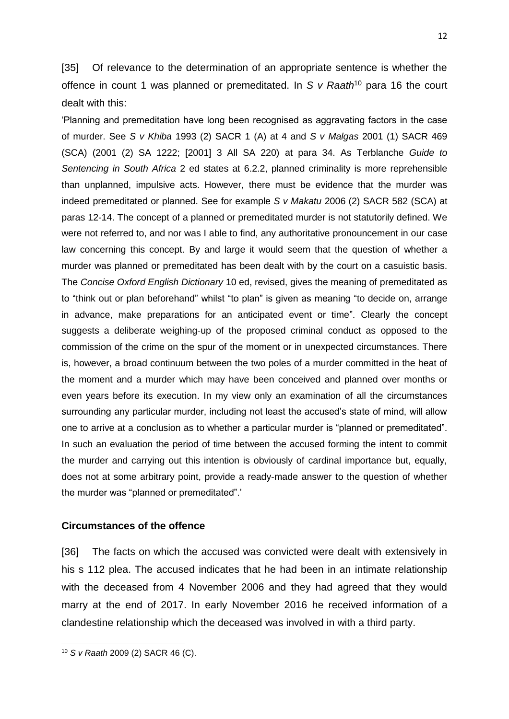[35] Of relevance to the determination of an appropriate sentence is whether the offence in count 1 was planned or premeditated. In *S v Raath*<sup>10</sup> para 16 the court dealt with this:

'Planning and premeditation have long been recognised as aggravating factors in the case of murder. See *S v Khiba* 1993 (2) SACR 1 (A) at 4 and *S v Malgas* 2001 (1) SACR 469 (SCA) (2001 (2) SA 1222; [2001] 3 All SA 220) at para 34. As Terblanche *Guide to Sentencing in South Africa* 2 ed states at 6.2.2, planned criminality is more reprehensible than unplanned, impulsive acts. However, there must be evidence that the murder was indeed premeditated or planned. See for example *S v Makatu* 2006 (2) SACR 582 (SCA) at paras 12-14. The concept of a planned or premeditated murder is not statutorily defined. We were not referred to, and nor was I able to find, any authoritative pronouncement in our case law concerning this concept. By and large it would seem that the question of whether a murder was planned or premeditated has been dealt with by the court on a casuistic basis. The *Concise Oxford English Dictionary* 10 ed, revised, gives the meaning of premeditated as to "think out or plan beforehand" whilst "to plan" is given as meaning "to decide on, arrange in advance, make preparations for an anticipated event or time". Clearly the concept suggests a deliberate weighing-up of the proposed criminal conduct as opposed to the commission of the crime on the spur of the moment or in unexpected circumstances. There is, however, a broad continuum between the two poles of a murder committed in the heat of the moment and a murder which may have been conceived and planned over months or even years before its execution. In my view only an examination of all the circumstances surrounding any particular murder, including not least the accused's state of mind, will allow one to arrive at a conclusion as to whether a particular murder is "planned or premeditated". In such an evaluation the period of time between the accused forming the intent to commit the murder and carrying out this intention is obviously of cardinal importance but, equally, does not at some arbitrary point, provide a ready-made answer to the question of whether the murder was "planned or premeditated".'

#### **Circumstances of the offence**

[36] The facts on which the accused was convicted were dealt with extensively in his s 112 plea. The accused indicates that he had been in an intimate relationship with the deceased from 4 November 2006 and they had agreed that they would marry at the end of 2017. In early November 2016 he received information of a clandestine relationship which the deceased was involved in with a third party.

<sup>10</sup> *S v Raath* 2009 (2) SACR 46 (C).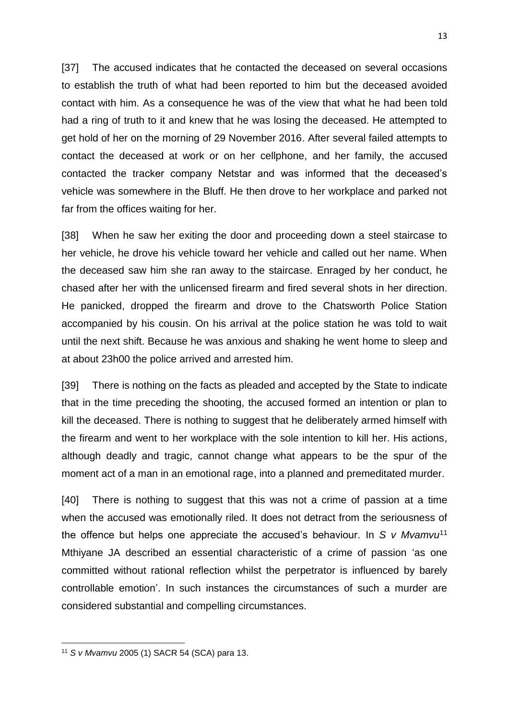[37] The accused indicates that he contacted the deceased on several occasions to establish the truth of what had been reported to him but the deceased avoided contact with him. As a consequence he was of the view that what he had been told had a ring of truth to it and knew that he was losing the deceased. He attempted to get hold of her on the morning of 29 November 2016. After several failed attempts to contact the deceased at work or on her cellphone, and her family, the accused contacted the tracker company Netstar and was informed that the deceased's vehicle was somewhere in the Bluff. He then drove to her workplace and parked not far from the offices waiting for her.

[38] When he saw her exiting the door and proceeding down a steel staircase to her vehicle, he drove his vehicle toward her vehicle and called out her name. When the deceased saw him she ran away to the staircase. Enraged by her conduct, he chased after her with the unlicensed firearm and fired several shots in her direction. He panicked, dropped the firearm and drove to the Chatsworth Police Station accompanied by his cousin. On his arrival at the police station he was told to wait until the next shift. Because he was anxious and shaking he went home to sleep and at about 23h00 the police arrived and arrested him.

[39] There is nothing on the facts as pleaded and accepted by the State to indicate that in the time preceding the shooting, the accused formed an intention or plan to kill the deceased. There is nothing to suggest that he deliberately armed himself with the firearm and went to her workplace with the sole intention to kill her. His actions, although deadly and tragic, cannot change what appears to be the spur of the moment act of a man in an emotional rage, into a planned and premeditated murder.

[40] There is nothing to suggest that this was not a crime of passion at a time when the accused was emotionally riled. It does not detract from the seriousness of the offence but helps one appreciate the accused's behaviour. In *S v Mvamvu*<sup>11</sup> Mthiyane JA described an essential characteristic of a crime of passion 'as one committed without rational reflection whilst the perpetrator is influenced by barely controllable emotion'. In such instances the circumstances of such a murder are considered substantial and compelling circumstances.

<sup>11</sup> *S v Mvamvu* 2005 (1) SACR 54 (SCA) para 13.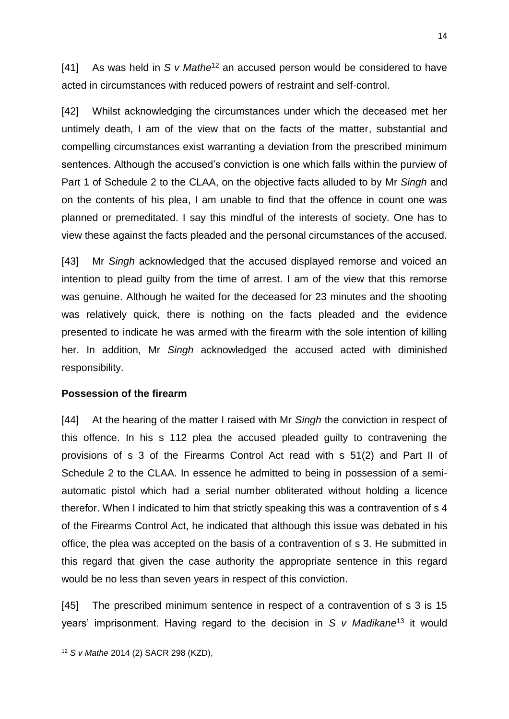[41] As was held in *S v Mathe*<sup>12</sup> an accused person would be considered to have acted in circumstances with reduced powers of restraint and self-control.

[42] Whilst acknowledging the circumstances under which the deceased met her untimely death, I am of the view that on the facts of the matter, substantial and compelling circumstances exist warranting a deviation from the prescribed minimum sentences. Although the accused's conviction is one which falls within the purview of Part 1 of Schedule 2 to the CLAA, on the objective facts alluded to by Mr *Singh* and on the contents of his plea, I am unable to find that the offence in count one was planned or premeditated. I say this mindful of the interests of society. One has to view these against the facts pleaded and the personal circumstances of the accused.

[43] Mr *Singh* acknowledged that the accused displayed remorse and voiced an intention to plead guilty from the time of arrest. I am of the view that this remorse was genuine. Although he waited for the deceased for 23 minutes and the shooting was relatively quick, there is nothing on the facts pleaded and the evidence presented to indicate he was armed with the firearm with the sole intention of killing her. In addition, Mr *Singh* acknowledged the accused acted with diminished responsibility.

## **Possession of the firearm**

[44] At the hearing of the matter I raised with Mr *Singh* the conviction in respect of this offence. In his s 112 plea the accused pleaded guilty to contravening the provisions of s 3 of the Firearms Control Act read with s 51(2) and Part II of Schedule 2 to the CLAA. In essence he admitted to being in possession of a semiautomatic pistol which had a serial number obliterated without holding a licence therefor. When I indicated to him that strictly speaking this was a contravention of s 4 of the Firearms Control Act, he indicated that although this issue was debated in his office, the plea was accepted on the basis of a contravention of s 3. He submitted in this regard that given the case authority the appropriate sentence in this regard would be no less than seven years in respect of this conviction.

[45] The prescribed minimum sentence in respect of a contravention of s 3 is 15 years' imprisonment. Having regard to the decision in *S v Madikane*<sup>13</sup> it would

<sup>12</sup> *S v Mathe* 2014 (2) SACR 298 (KZD),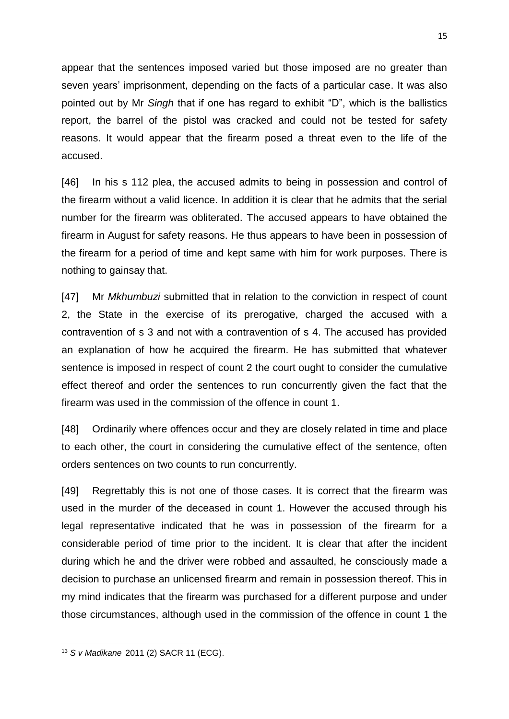appear that the sentences imposed varied but those imposed are no greater than seven years' imprisonment, depending on the facts of a particular case. It was also pointed out by Mr *Singh* that if one has regard to exhibit "D", which is the ballistics report, the barrel of the pistol was cracked and could not be tested for safety reasons. It would appear that the firearm posed a threat even to the life of the accused.

[46] In his s 112 plea, the accused admits to being in possession and control of the firearm without a valid licence. In addition it is clear that he admits that the serial number for the firearm was obliterated. The accused appears to have obtained the firearm in August for safety reasons. He thus appears to have been in possession of the firearm for a period of time and kept same with him for work purposes. There is nothing to gainsay that.

[47] Mr *Mkhumbuzi* submitted that in relation to the conviction in respect of count 2, the State in the exercise of its prerogative, charged the accused with a contravention of s 3 and not with a contravention of s 4. The accused has provided an explanation of how he acquired the firearm. He has submitted that whatever sentence is imposed in respect of count 2 the court ought to consider the cumulative effect thereof and order the sentences to run concurrently given the fact that the firearm was used in the commission of the offence in count 1.

[48] Ordinarily where offences occur and they are closely related in time and place to each other, the court in considering the cumulative effect of the sentence, often orders sentences on two counts to run concurrently.

[49] Regrettably this is not one of those cases. It is correct that the firearm was used in the murder of the deceased in count 1. However the accused through his legal representative indicated that he was in possession of the firearm for a considerable period of time prior to the incident. It is clear that after the incident during which he and the driver were robbed and assaulted, he consciously made a decision to purchase an unlicensed firearm and remain in possession thereof. This in my mind indicates that the firearm was purchased for a different purpose and under those circumstances, although used in the commission of the offence in count 1 the

<sup>13</sup> *S v Madikane* 2011 (2) SACR 11 (ECG).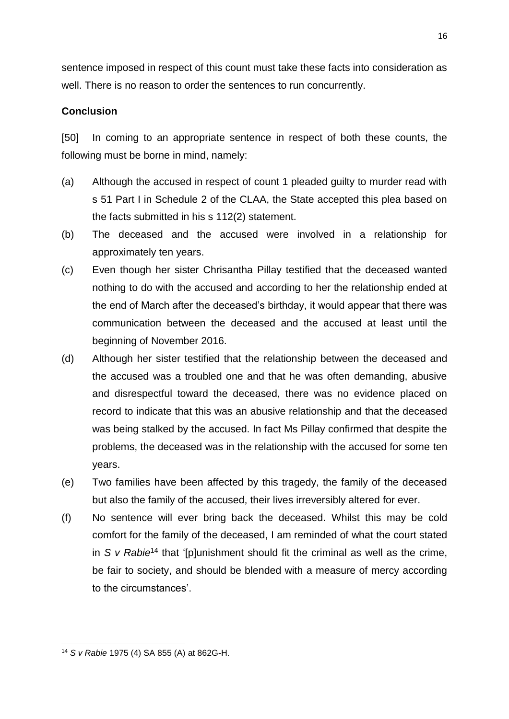sentence imposed in respect of this count must take these facts into consideration as well. There is no reason to order the sentences to run concurrently.

# **Conclusion**

[50] In coming to an appropriate sentence in respect of both these counts, the following must be borne in mind, namely:

- (a) Although the accused in respect of count 1 pleaded guilty to murder read with s 51 Part I in Schedule 2 of the CLAA, the State accepted this plea based on the facts submitted in his s 112(2) statement.
- (b) The deceased and the accused were involved in a relationship for approximately ten years.
- (c) Even though her sister Chrisantha Pillay testified that the deceased wanted nothing to do with the accused and according to her the relationship ended at the end of March after the deceased's birthday, it would appear that there was communication between the deceased and the accused at least until the beginning of November 2016.
- (d) Although her sister testified that the relationship between the deceased and the accused was a troubled one and that he was often demanding, abusive and disrespectful toward the deceased, there was no evidence placed on record to indicate that this was an abusive relationship and that the deceased was being stalked by the accused. In fact Ms Pillay confirmed that despite the problems, the deceased was in the relationship with the accused for some ten years.
- (e) Two families have been affected by this tragedy, the family of the deceased but also the family of the accused, their lives irreversibly altered for ever.
- (f) No sentence will ever bring back the deceased. Whilst this may be cold comfort for the family of the deceased, I am reminded of what the court stated in *S v Rabie*<sup>14</sup> that '[p]unishment should fit the criminal as well as the crime, be fair to society, and should be blended with a measure of mercy according to the circumstances'.

<sup>16</sup>

**<sup>.</sup>** <sup>14</sup> *S v Rabie* 1975 (4) SA 855 (A) at 862G-H.